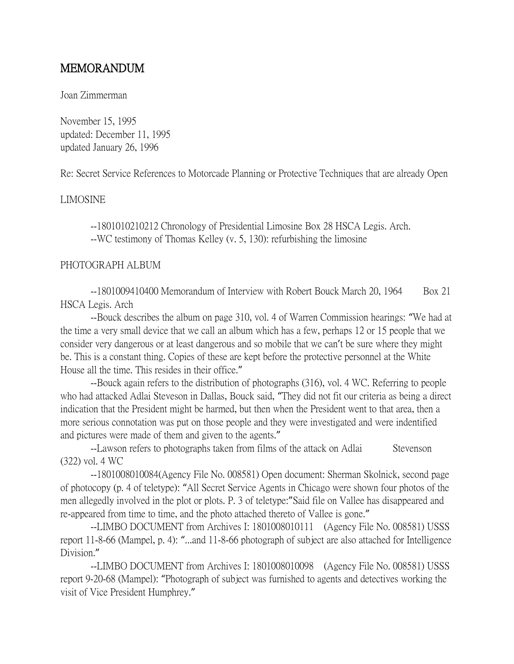# MEMORANDUM

#### Joan Zimmerman

November 15, 1995 updated: December 11, 1995 updated January 26, 1996

Re: Secret Service References to Motorcade Planning or Protective Techniques that are already Open

## LIMOSINE

--1801010210212 Chronology of Presidential Limosine Box 28 HSCA Legis. Arch. --WC testimony of Thomas Kelley (v. 5, 130): refurbishing the limosine

#### PHOTOGRAPH ALBUM

--1801009410400 Memorandum of Interview with Robert Bouck March 20, 1964 Box 21 HSCA Legis. Arch

--Bouck describes the album on page 310, vol. 4 of Warren Commission hearings: "We had at the time a very small device that we call an album which has a few, perhaps 12 or 15 people that we consider very dangerous or at least dangerous and so mobile that we can't be sure where they might be. This is a constant thing. Copies of these are kept before the protective personnel at the White House all the time. This resides in their office."

--Bouck again refers to the distribution of photographs (316), vol. 4 WC. Referring to people who had attacked Adlai Steveson in Dallas, Bouck said, "They did not fit our criteria as being a direct indication that the President might be harmed, but then when the President went to that area, then a more serious connotation was put on those people and they were investigated and were indentified and pictures were made of them and given to the agents."

--Lawson refers to photographs taken from films of the attack on Adlai Stevenson (322) vol. 4 WC

--1801008010084(Agency File No. 008581) Open document: Sherman Skolnick, second page of photocopy (p. 4 of teletype): "All Secret Service Agents in Chicago were shown four photos of the men allegedly involved in the plot or plots. P. 3 of teletype:"Said file on Vallee has disappeared and re-appeared from time to time, and the photo attached thereto of Vallee is gone."

--LIMBO DOCUMENT from Archives I: 1801008010111 (Agency File No. 008581) USSS report 11-8-66 (Mampel, p. 4): "...and 11-8-66 photograph of subject are also attached for Intelligence Division."

--LIMBO DOCUMENT from Archives I: 1801008010098 (Agency File No. 008581) USSS report 9-20-68 (Mampel): "Photograph of subject was furnished to agents and detectives working the visit of Vice President Humphrey."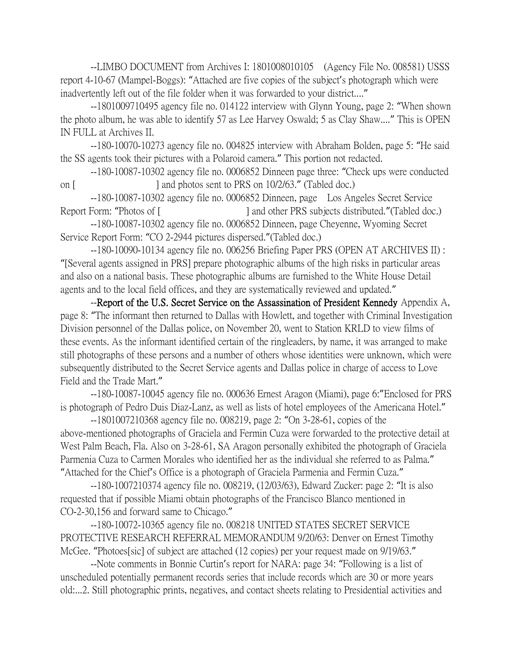--LIMBO DOCUMENT from Archives I: 1801008010105 (Agency File No. 008581) USSS report 4-10-67 (Mampel-Boggs): "Attached are five copies of the subject's photograph which were inadvertently left out of the file folder when it was forwarded to your district...."

--1801009710495 agency file no. 014122 interview with Glynn Young, page 2: "When shown the photo album, he was able to identify 57 as Lee Harvey Oswald; 5 as Clay Shaw...." This is OPEN IN FULL at Archives II.

--180-10070-10273 agency file no. 004825 interview with Abraham Bolden, page 5: "He said the SS agents took their pictures with a Polaroid camera." This portion not redacted.

--180-10087-10302 agency file no. 0006852 Dinneen page three: "Check ups were conducted on [ ] and photos sent to PRS on 10/2/63." (Tabled doc.)

--180-10087-10302 agency file no. 0006852 Dinneen, page Los Angeles Secret Service Report Form: "Photos of [ ] and other PRS subjects distributed." (Tabled doc.)

--180-10087-10302 agency file no. 0006852 Dinneen, page Cheyenne, Wyoming Secret Service Report Form: "CO 2-2944 pictures dispersed."(Tabled doc.)

--180-10090-10134 agency file no. 006256 Briefing Paper PRS (OPEN AT ARCHIVES II) : "[Several agents assigned in PRS] prepare photographic albums of the high risks in particular areas and also on a national basis. These photographic albums are furnished to the White House Detail agents and to the local field offices, and they are systematically reviewed and updated."

--Report of the U.S. Secret Service on the Assassination of President Kennedy Appendix A, page 8: "The informant then returned to Dallas with Howlett, and together with Criminal Investigation Division personnel of the Dallas police, on November 20, went to Station KRLD to view films of these events. As the informant identified certain of the ringleaders, by name, it was arranged to make still photographs of these persons and a number of others whose identities were unknown, which were subsequently distributed to the Secret Service agents and Dallas police in charge of access to Love Field and the Trade Mart."

--180-10087-10045 agency file no. 000636 Ernest Aragon (Miami), page 6:"Enclosed for PRS is photograph of Pedro Duis Diaz-Lanz, as well as lists of hotel employees of the Americana Hotel."

--1801007210368 agency file no. 008219, page 2: "On 3-28-61, copies of the above-mentioned photographs of Graciela and Fermin Cuza were forwarded to the protective detail at West Palm Beach, Fla. Also on 3-28-61, SA Aragon personally exhibited the photograph of Graciela Parmenia Cuza to Carmen Morales who identified her as the individual she referred to as Palma." "Attached for the Chief's Office is a photograph of Graciela Parmenia and Fermin Cuza."

--180-1007210374 agency file no. 008219, (12/03/63), Edward Zucker: page 2: "It is also requested that if possible Miami obtain photographs of the Francisco Blanco mentioned in CO-2-30,156 and forward same to Chicago."

--180-10072-10365 agency file no. 008218 UNITED STATES SECRET SERVICE PROTECTIVE RESEARCH REFERRAL MEMORANDUM 9/20/63: Denver on Ernest Timothy McGee. "Photoes[sic] of subject are attached (12 copies) per your request made on 9/19/63."

--Note comments in Bonnie Curtin's report for NARA: page 34: "Following is a list of unscheduled potentially permanent records series that include records which are 30 or more years old:...2. Still photographic prints, negatives, and contact sheets relating to Presidential activities and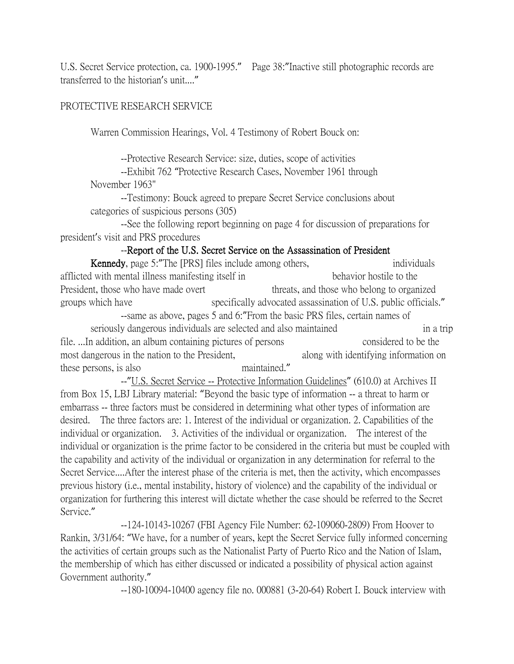U.S. Secret Service protection, ca. 1900-1995." Page 38:"Inactive still photographic records are transferred to the historian's unit...."

## PROTECTIVE RESEARCH SERVICE

Warren Commission Hearings, Vol. 4 Testimony of Robert Bouck on:

--Protective Research Service: size, duties, scope of activities

--Exhibit 762 "Protective Research Cases, November 1961 through November 1963"

--Testimony: Bouck agreed to prepare Secret Service conclusions about categories of suspicious persons (305)

--See the following report beginning on page 4 for discussion of preparations for president's visit and PRS procedures

## --Report of the U.S. Secret Service on the Assassination of President

Kennedy, page 5: "The [PRS] files include among others, individuals afflicted with mental illness manifesting itself in behavior hostile to the President, those who have made overt threats, and those who belong to organized groups which have specifically advocated assassination of U.S. public officials." --same as above, pages 5 and 6:"From the basic PRS files, certain names of seriously dangerous individuals are selected and also maintained in a trip file. ...In addition, an album containing pictures of persons considered to be the most dangerous in the nation to the President, along with identifying information on these persons, is also maintained."

--"U.S. Secret Service -- Protective Information Guidelines" (610.0) at Archives II from Box 15, LBJ Library material: "Beyond the basic type of information -- a threat to harm or embarrass -- three factors must be considered in determining what other types of information are desired. The three factors are: 1. Interest of the individual or organization. 2. Capabilities of the individual or organization. 3. Activities of the individual or organization. The interest of the individual or organization is the prime factor to be considered in the criteria but must be coupled with the capability and activity of the individual or organization in any determination for referral to the Secret Service....After the interest phase of the criteria is met, then the activity, which encompasses previous history (i.e., mental instability, history of violence) and the capability of the individual or organization for furthering this interest will dictate whether the case should be referred to the Secret Service."

--124-10143-10267 (FBI Agency File Number: 62-109060-2809) From Hoover to Rankin, 3/31/64: "We have, for a number of years, kept the Secret Service fully informed concerning the activities of certain groups such as the Nationalist Party of Puerto Rico and the Nation of Islam, the membership of which has either discussed or indicated a possibility of physical action against Government authority."

--180-10094-10400 agency file no. 000881 (3-20-64) Robert I. Bouck interview with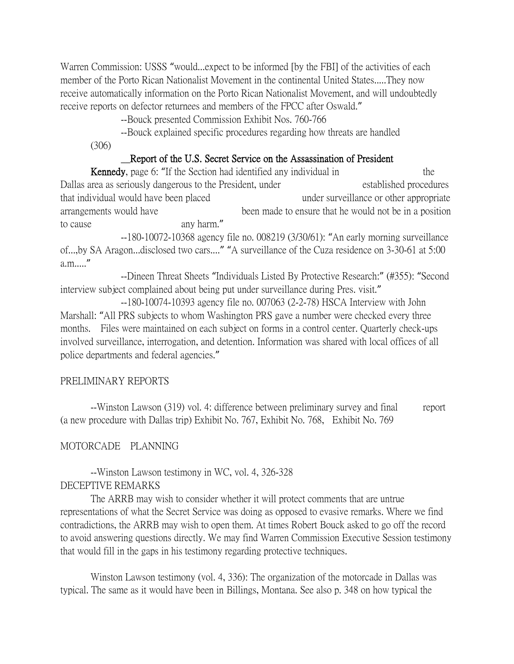Warren Commission: USSS "would...expect to be informed [by the FBI] of the activities of each member of the Porto Rican Nationalist Movement in the continental United States.....They now receive automatically information on the Porto Rican Nationalist Movement, and will undoubtedly receive reports on defector returnees and members of the FPCC after Oswald."

--Bouck presented Commission Exhibit Nos. 760-766

--Bouck explained specific procedures regarding how threats are handled

(306)

#### Report of the U.S. Secret Service on the Assassination of President

Kennedy, page 6: "If the Section had identified any individual in the Dallas area as seriously dangerous to the President, under established procedures that individual would have been placed under surveillance or other appropriate arrangements would have been made to ensure that he would not be in a position to cause any harm."

--180-10072-10368 agency file no. 008219 (3/30/61): "An early morning surveillance of...,by SA Aragon...disclosed two cars...." "A surveillance of the Cuza residence on 3-30-61 at 5:00 a.m....."

--Dineen Threat Sheets "Individuals Listed By Protective Research:" (#355): "Second interview subject complained about being put under surveillance during Pres. visit."

--180-10074-10393 agency file no. 007063 (2-2-78) HSCA Interview with John Marshall: "All PRS subjects to whom Washington PRS gave a number were checked every three months. Files were maintained on each subject on forms in a control center. Quarterly check-ups involved surveillance, interrogation, and detention. Information was shared with local offices of all police departments and federal agencies."

#### PRELIMINARY REPORTS

--Winston Lawson (319) vol. 4: difference between preliminary survey and final report (a new procedure with Dallas trip) Exhibit No. 767, Exhibit No. 768, Exhibit No. 769

#### MOTORCADE PLANNING

--Winston Lawson testimony in WC, vol. 4, 326-328 DECEPTIVE REMARKS

The ARRB may wish to consider whether it will protect comments that are untrue representations of what the Secret Service was doing as opposed to evasive remarks. Where we find contradictions, the ARRB may wish to open them. At times Robert Bouck asked to go off the record to avoid answering questions directly. We may find Warren Commission Executive Session testimony that would fill in the gaps in his testimony regarding protective techniques.

Winston Lawson testimony (vol. 4, 336): The organization of the motorcade in Dallas was typical. The same as it would have been in Billings, Montana. See also p. 348 on how typical the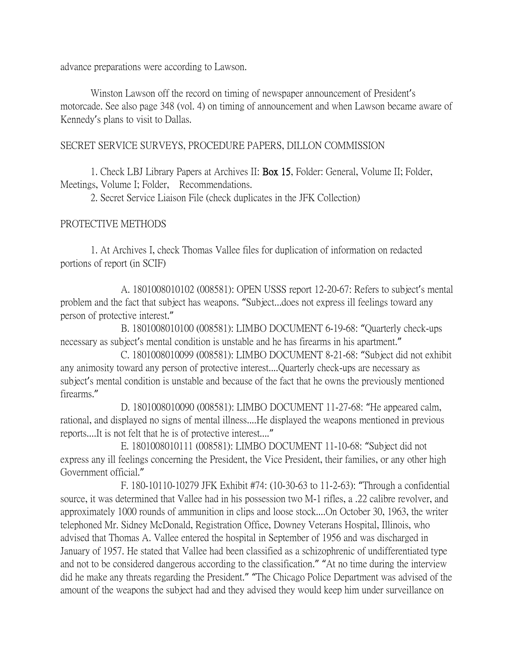advance preparations were according to Lawson.

Winston Lawson off the record on timing of newspaper announcement of President's motorcade. See also page 348 (vol. 4) on timing of announcement and when Lawson became aware of Kennedy's plans to visit to Dallas.

## SECRET SERVICE SURVEYS, PROCEDURE PAPERS, DILLON COMMISSION

1. Check LBJ Library Papers at Archives II: Box 15, Folder: General, Volume II; Folder, Meetings, Volume I; Folder, Recommendations.

2. Secret Service Liaison File (check duplicates in the JFK Collection)

## PROTECTIVE METHODS

1. At Archives I, check Thomas Vallee files for duplication of information on redacted portions of report (in SCIF)

A. 1801008010102 (008581): OPEN USSS report 12-20-67: Refers to subject's mental problem and the fact that subject has weapons. "Subject...does not express ill feelings toward any person of protective interest."

B. 1801008010100 (008581): LIMBO DOCUMENT 6-19-68: "Quarterly check-ups necessary as subject's mental condition is unstable and he has firearms in his apartment."

C. 1801008010099 (008581): LIMBO DOCUMENT 8-21-68: "Subject did not exhibit any animosity toward any person of protective interest....Quarterly check-ups are necessary as subject's mental condition is unstable and because of the fact that he owns the previously mentioned firearms."

D. 1801008010090 (008581): LIMBO DOCUMENT 11-27-68: "He appeared calm, rational, and displayed no signs of mental illness....He displayed the weapons mentioned in previous reports....It is not felt that he is of protective interest...."

E. 1801008010111 (008581): LIMBO DOCUMENT 11-10-68: "Subject did not express any ill feelings concerning the President, the Vice President, their families, or any other high Government official."

F. 180-10110-10279 JFK Exhibit #74: (10-30-63 to 11-2-63): "Through a confidential source, it was determined that Vallee had in his possession two M-1 rifles, a .22 calibre revolver, and approximately 1000 rounds of ammunition in clips and loose stock....On October 30, 1963, the writer telephoned Mr. Sidney McDonald, Registration Office, Downey Veterans Hospital, Illinois, who advised that Thomas A. Vallee entered the hospital in September of 1956 and was discharged in January of 1957. He stated that Vallee had been classified as a schizophrenic of undifferentiated type and not to be considered dangerous according to the classification." "At no time during the interview did he make any threats regarding the President." "The Chicago Police Department was advised of the amount of the weapons the subject had and they advised they would keep him under surveillance on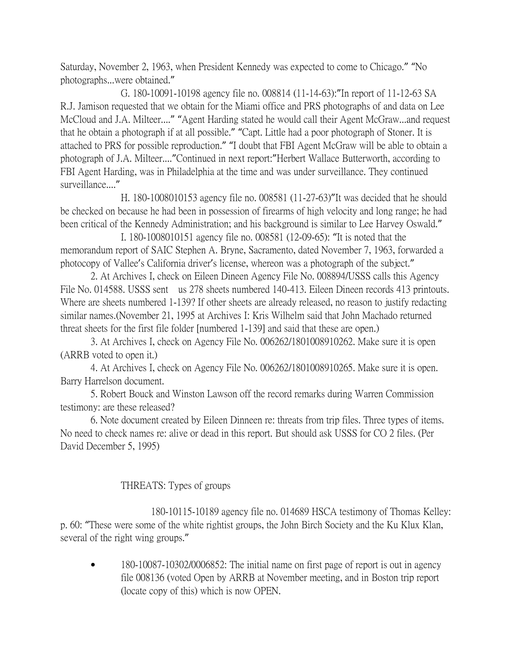Saturday, November 2, 1963, when President Kennedy was expected to come to Chicago." "No photographs...were obtained."

G. 180-10091-10198 agency file no. 008814 (11-14-63):"In report of 11-12-63 SA R.J. Jamison requested that we obtain for the Miami office and PRS photographs of and data on Lee McCloud and J.A. Milteer...." "Agent Harding stated he would call their Agent McGraw...and request that he obtain a photograph if at all possible." "Capt. Little had a poor photograph of Stoner. It is attached to PRS for possible reproduction." "I doubt that FBI Agent McGraw will be able to obtain a photograph of J.A. Milteer...."Continued in next report:"Herbert Wallace Butterworth, according to FBI Agent Harding, was in Philadelphia at the time and was under surveillance. They continued surveillance...."

H. 180-1008010153 agency file no. 008581 (11-27-63)"It was decided that he should be checked on because he had been in possession of firearms of high velocity and long range; he had been critical of the Kennedy Administration; and his background is similar to Lee Harvey Oswald."

I. 180-1008010151 agency file no. 008581 (12-09-65): "It is noted that the memorandum report of SAIC Stephen A. Bryne, Sacramento, dated November 7, 1963, forwarded a photocopy of Vallee's California driver's license, whereon was a photograph of the subject."

2. At Archives I, check on Eileen Dineen Agency File No. 008894/USSS calls this Agency File No. 014588. USSS sent us 278 sheets numbered 140-413. Eileen Dineen records 413 printouts. Where are sheets numbered 1-139? If other sheets are already released, no reason to justify redacting similar names.(November 21, 1995 at Archives I: Kris Wilhelm said that John Machado returned threat sheets for the first file folder [numbered 1-139] and said that these are open.)

3. At Archives I, check on Agency File No. 006262/1801008910262. Make sure it is open (ARRB voted to open it.)

4. At Archives I, check on Agency File No. 006262/1801008910265. Make sure it is open. Barry Harrelson document.

5. Robert Bouck and Winston Lawson off the record remarks during Warren Commission testimony: are these released?

6. Note document created by Eileen Dinneen re: threats from trip files. Three types of items. No need to check names re: alive or dead in this report. But should ask USSS for CO 2 files. (Per David December 5, 1995)

## THREATS: Types of groups

180-10115-10189 agency file no. 014689 HSCA testimony of Thomas Kelley: p. 60: "These were some of the white rightist groups, the John Birch Society and the Ku Klux Klan, several of the right wing groups."

• 180-10087-10302/0006852: The initial name on first page of report is out in agency file 008136 (voted Open by ARRB at November meeting, and in Boston trip report (locate copy of this) which is now OPEN.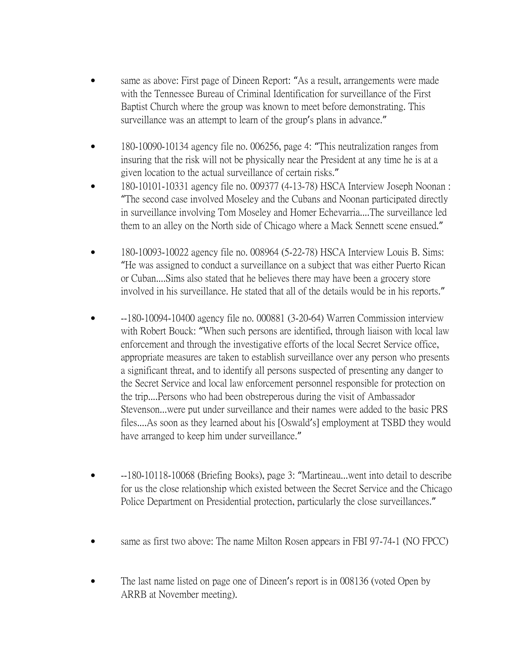- same as above: First page of Dineen Report: "As a result, arrangements were made with the Tennessee Bureau of Criminal Identification for surveillance of the First Baptist Church where the group was known to meet before demonstrating. This surveillance was an attempt to learn of the group's plans in advance."
- 180-10090-10134 agency file no. 006256, page 4: "This neutralization ranges from insuring that the risk will not be physically near the President at any time he is at a given location to the actual surveillance of certain risks."
- 180-10101-10331 agency file no. 009377 (4-13-78) HSCA Interview Joseph Noonan : "The second case involved Moseley and the Cubans and Noonan participated directly in surveillance involving Tom Moseley and Homer Echevarria....The surveillance led them to an alley on the North side of Chicago where a Mack Sennett scene ensued."
- 180-10093-10022 agency file no. 008964 (5-22-78) HSCA Interview Louis B. Sims: "He was assigned to conduct a surveillance on a subject that was either Puerto Rican or Cuban....Sims also stated that he believes there may have been a grocery store involved in his surveillance. He stated that all of the details would be in his reports."
- --180-10094-10400 agency file no. 000881 (3-20-64) Warren Commission interview with Robert Bouck: "When such persons are identified, through liaison with local law enforcement and through the investigative efforts of the local Secret Service office, appropriate measures are taken to establish surveillance over any person who presents a significant threat, and to identify all persons suspected of presenting any danger to the Secret Service and local law enforcement personnel responsible for protection on the trip....Persons who had been obstreperous during the visit of Ambassador Stevenson...were put under surveillance and their names were added to the basic PRS files....As soon as they learned about his [Oswald's] employment at TSBD they would have arranged to keep him under surveillance."
- --180-10118-10068 (Briefing Books), page 3: "Martineau...went into detail to describe for us the close relationship which existed between the Secret Service and the Chicago Police Department on Presidential protection, particularly the close surveillances."
- same as first two above: The name Milton Rosen appears in FBI 97-74-1 (NO FPCC)
- The last name listed on page one of Dineen's report is in 008136 (voted Open by ARRB at November meeting).